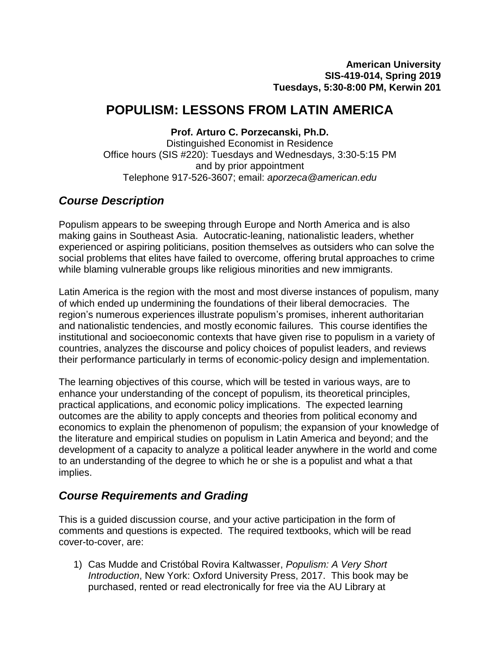# **POPULISM: LESSONS FROM LATIN AMERICA**

**Prof. Arturo C. Porzecanski, Ph.D.**

Distinguished Economist in Residence Office hours (SIS #220): Tuesdays and Wednesdays, 3:30-5:15 PM and by prior appointment Telephone 917-526-3607; email: *[aporzeca@american.edu](mailto:aporzeca@american.edu)*

## *Course Description*

Populism appears to be sweeping through Europe and North America and is also making gains in Southeast Asia. Autocratic-leaning, nationalistic leaders, whether experienced or aspiring politicians, position themselves as outsiders who can solve the social problems that elites have failed to overcome, offering brutal approaches to crime while blaming vulnerable groups like religious minorities and new immigrants.

Latin America is the region with the most and most diverse instances of populism, many of which ended up undermining the foundations of their liberal democracies. The region's numerous experiences illustrate populism's promises, inherent authoritarian and nationalistic tendencies, and mostly economic failures. This course identifies the institutional and socioeconomic contexts that have given rise to populism in a variety of countries, analyzes the discourse and policy choices of populist leaders, and reviews their performance particularly in terms of economic-policy design and implementation.

The learning objectives of this course, which will be tested in various ways, are to enhance your understanding of the concept of populism, its theoretical principles, practical applications, and economic policy implications. The expected learning outcomes are the ability to apply concepts and theories from political economy and economics to explain the phenomenon of populism; the expansion of your knowledge of the literature and empirical studies on populism in Latin America and beyond; and the development of a capacity to analyze a political leader anywhere in the world and come to an understanding of the degree to which he or she is a populist and what a that implies.

## *Course Requirements and Grading*

This is a guided discussion course, and your active participation in the form of comments and questions is expected. The required textbooks, which will be read cover-to-cover, are:

1) Cas Mudde and Cristóbal Rovira Kaltwasser, *Populism: A Very Short Introduction*, New York: Oxford University Press, 2017. This book may be purchased, rented or read electronically for free via the AU Library at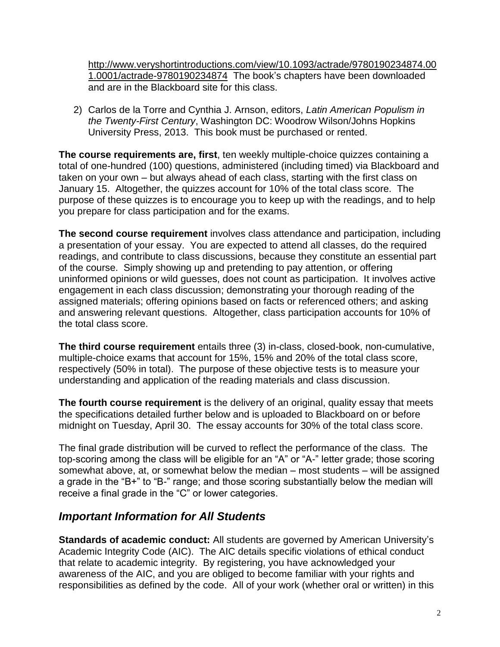[http://www.veryshortintroductions.com/view/10.1093/actrade/9780190234874.00](http://www.veryshortintroductions.com/view/10.1093/actrade/9780190234874.001.0001/actrade-9780190234874) [1.0001/actrade-9780190234874](http://www.veryshortintroductions.com/view/10.1093/actrade/9780190234874.001.0001/actrade-9780190234874) The book's chapters have been downloaded and are in the Blackboard site for this class.

2) Carlos de la Torre and Cynthia J. Arnson, editors, *Latin American Populism in the Twenty-First Century*, Washington DC: Woodrow Wilson/Johns Hopkins University Press, 2013. This book must be purchased or rented.

**The course requirements are, first**, ten weekly multiple-choice quizzes containing a total of one-hundred (100) questions, administered (including timed) via Blackboard and taken on your own – but always ahead of each class, starting with the first class on January 15. Altogether, the quizzes account for 10% of the total class score. The purpose of these quizzes is to encourage you to keep up with the readings, and to help you prepare for class participation and for the exams.

**The second course requirement** involves class attendance and participation, including a presentation of your essay. You are expected to attend all classes, do the required readings, and contribute to class discussions, because they constitute an essential part of the course. Simply showing up and pretending to pay attention, or offering uninformed opinions or wild guesses, does not count as participation. It involves active engagement in each class discussion; demonstrating your thorough reading of the assigned materials; offering opinions based on facts or referenced others; and asking and answering relevant questions. Altogether, class participation accounts for 10% of the total class score.

**The third course requirement** entails three (3) in-class, closed-book, non-cumulative, multiple-choice exams that account for 15%, 15% and 20% of the total class score, respectively (50% in total). The purpose of these objective tests is to measure your understanding and application of the reading materials and class discussion.

**The fourth course requirement** is the delivery of an original, quality essay that meets the specifications detailed further below and is uploaded to Blackboard on or before midnight on Tuesday, April 30. The essay accounts for 30% of the total class score.

The final grade distribution will be curved to reflect the performance of the class. The top-scoring among the class will be eligible for an "A" or "A-" letter grade; those scoring somewhat above, at, or somewhat below the median – most students – will be assigned a grade in the "B+" to "B-" range; and those scoring substantially below the median will receive a final grade in the "C" or lower categories.

## *Important Information for All Students*

**Standards of academic conduct:** All students are governed by American University's Academic Integrity Code (AIC). The AIC details specific violations of ethical conduct that relate to academic integrity. By registering, you have acknowledged your awareness of the AIC, and you are obliged to become familiar with your rights and responsibilities as defined by the code. All of your work (whether oral or written) in this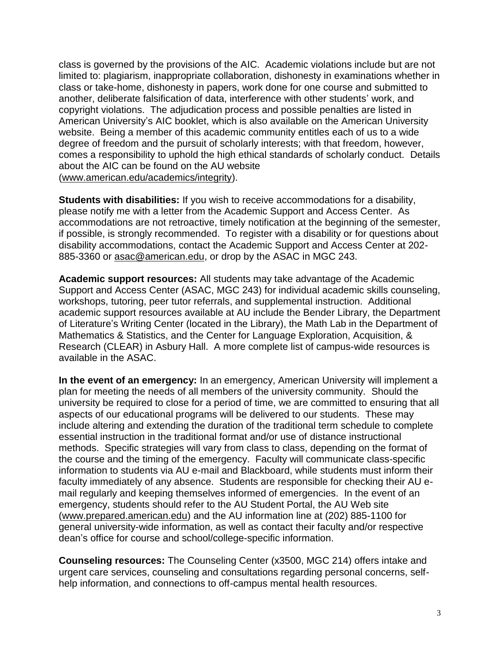class is governed by the provisions of the AIC. Academic violations include but are not limited to: plagiarism, inappropriate collaboration, dishonesty in examinations whether in class or take-home, dishonesty in papers, work done for one course and submitted to another, deliberate falsification of data, interference with other students' work, and copyright violations. The adjudication process and possible penalties are listed in American University's AIC booklet, which is also available on the American University website. Being a member of this academic community entitles each of us to a wide degree of freedom and the pursuit of scholarly interests; with that freedom, however, comes a responsibility to uphold the high ethical standards of scholarly conduct. Details about the AIC can be found on the AU website [\(www.american.edu/academics/integrity\)](http://www.american.edu/academics/integrity).

**Students with disabilities:** If you wish to receive accommodations for a disability, please notify me with a letter from the Academic Support and Access Center. As accommodations are not retroactive, timely notification at the beginning of the semester, if possible, is strongly recommended. To register with a disability or for questions about disability accommodations, contact the Academic Support and Access Center at 202- 885-3360 or [asac@american.edu,](mailto:asac@american.edu) or drop by the ASAC in MGC 243.

**Academic support resources:** All students may take advantage of the Academic Support and Access Center (ASAC, MGC 243) for individual academic skills counseling, workshops, tutoring, peer tutor referrals, and supplemental instruction. Additional academic support resources available at AU include the Bender Library, the Department of Literature's Writing Center (located in the Library), the Math Lab in the Department of Mathematics & Statistics, and the Center for Language Exploration, Acquisition, & Research (CLEAR) in Asbury Hall. A more complete list of campus-wide resources is available in the ASAC.

**In the event of an emergency:** In an emergency, American University will implement a plan for meeting the needs of all members of the university community. Should the university be required to close for a period of time, we are committed to ensuring that all aspects of our educational programs will be delivered to our students. These may include altering and extending the duration of the traditional term schedule to complete essential instruction in the traditional format and/or use of distance instructional methods. Specific strategies will vary from class to class, depending on the format of the course and the timing of the emergency. Faculty will communicate class-specific information to students via AU e-mail and Blackboard, while students must inform their faculty immediately of any absence. Students are responsible for checking their AU email regularly and keeping themselves informed of emergencies. In the event of an emergency, students should refer to the AU Student Portal, the AU Web site [\(www.prepared.american.edu\)](http://www.prepared.american.edu/) and the AU information line at (202) 885-1100 for general university-wide information, as well as contact their faculty and/or respective dean's office for course and school/college-specific information.

**Counseling resources:** The Counseling Center (x3500, MGC 214) offers intake and urgent care services, counseling and consultations regarding personal concerns, selfhelp information, and connections to off-campus mental health resources.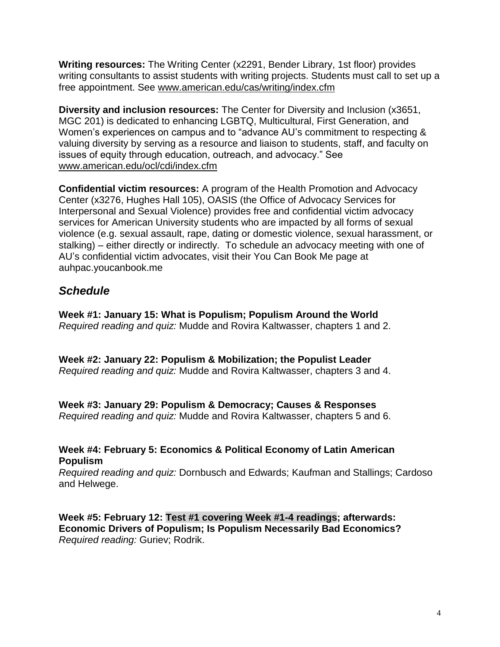**Writing resources:** The Writing Center (x2291, Bender Library, 1st floor) provides writing consultants to assist students with writing projects. Students must call to set up a free appointment. See [www.american.edu/cas/writing/index.cfm](http://www.american.edu/cas/writing/index.cfm)

**Diversity and inclusion resources:** The Center for Diversity and Inclusion (x3651, MGC 201) is dedicated to enhancing LGBTQ, Multicultural, First Generation, and Women's experiences on campus and to "advance AU's commitment to respecting & valuing diversity by serving as a resource and liaison to students, staff, and faculty on issues of equity through education, outreach, and advocacy." See [www.american.edu/ocl/cdi/index.cfm](http://www.american.edu/ocl/cdi/index.cfm)

**Confidential victim resources:** A program of the Health Promotion and Advocacy Center (x3276, Hughes Hall 105), OASIS (the Office of Advocacy Services for Interpersonal and Sexual Violence) provides free and confidential victim advocacy services for American University students who are impacted by all forms of sexual violence (e.g. sexual assault, rape, dating or domestic violence, sexual harassment, or stalking) – either directly or indirectly. To schedule an advocacy meeting with one of AU's confidential victim advocates, visit their You Can Book Me page at auhpac.youcanbook.me

## *Schedule*

**Week #1: January 15: What is Populism; Populism Around the World** *Required reading and quiz:* Mudde and Rovira Kaltwasser, chapters 1 and 2.

**Week #2: January 22: Populism & Mobilization; the Populist Leader** *Required reading and quiz:* Mudde and Rovira Kaltwasser, chapters 3 and 4.

**Week #3: January 29: Populism & Democracy; Causes & Responses**

*Required reading and quiz:* Mudde and Rovira Kaltwasser, chapters 5 and 6.

## **Week #4: February 5: Economics & Political Economy of Latin American Populism**

*Required reading and quiz:* Dornbusch and Edwards; Kaufman and Stallings; Cardoso and Helwege.

**Week #5: February 12: Test #1 covering Week #1-4 readings; afterwards: Economic Drivers of Populism; Is Populism Necessarily Bad Economics?** *Required reading:* Guriev; Rodrik.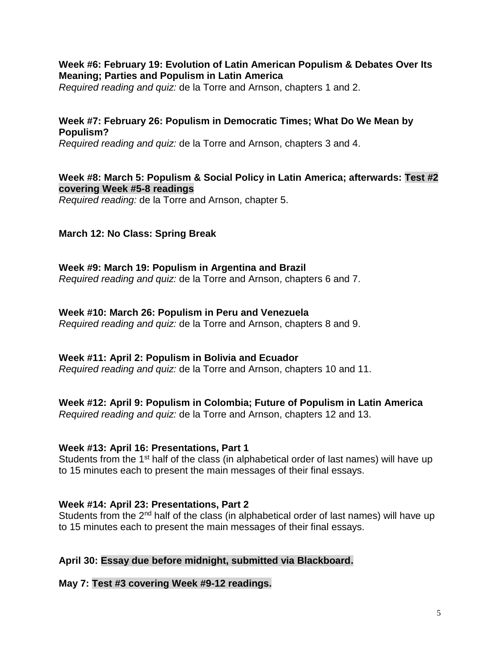## **Week #6: February 19: Evolution of Latin American Populism & Debates Over Its Meaning; Parties and Populism in Latin America**

*Required reading and quiz:* de la Torre and Arnson, chapters 1 and 2.

## **Week #7: February 26: Populism in Democratic Times; What Do We Mean by Populism?**

*Required reading and quiz:* de la Torre and Arnson, chapters 3 and 4.

### **Week #8: March 5: Populism & Social Policy in Latin America; afterwards: Test #2 covering Week #5-8 readings**

*Required reading:* de la Torre and Arnson, chapter 5.

## **March 12: No Class: Spring Break**

#### **Week #9: March 19: Populism in Argentina and Brazil** *Required reading and quiz:* de la Torre and Arnson, chapters 6 and 7.

#### **Week #10: March 26: Populism in Peru and Venezuela**

*Required reading and quiz:* de la Torre and Arnson, chapters 8 and 9.

### **Week #11: April 2: Populism in Bolivia and Ecuador**

*Required reading and quiz:* de la Torre and Arnson, chapters 10 and 11.

## **Week #12: April 9: Populism in Colombia; Future of Populism in Latin America**

*Required reading and quiz:* de la Torre and Arnson, chapters 12 and 13.

#### **Week #13: April 16: Presentations, Part 1**

Students from the 1<sup>st</sup> half of the class (in alphabetical order of last names) will have up to 15 minutes each to present the main messages of their final essays.

### **Week #14: April 23: Presentations, Part 2**

Students from the 2<sup>nd</sup> half of the class (in alphabetical order of last names) will have up to 15 minutes each to present the main messages of their final essays.

### **April 30: Essay due before midnight, submitted via Blackboard.**

### **May 7: Test #3 covering Week #9-12 readings.**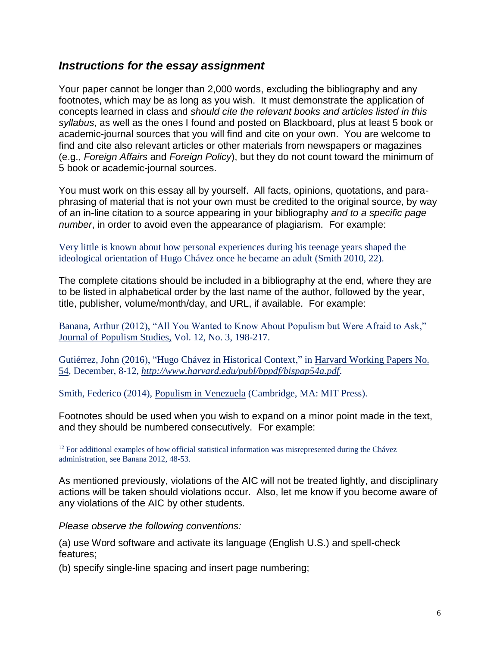## *Instructions for the essay assignment*

Your paper cannot be longer than 2,000 words, excluding the bibliography and any footnotes, which may be as long as you wish. It must demonstrate the application of concepts learned in class and *should cite the relevant books and articles listed in this syllabus*, as well as the ones I found and posted on Blackboard, plus at least 5 book or academic-journal sources that you will find and cite on your own. You are welcome to find and cite also relevant articles or other materials from newspapers or magazines (e.g., *Foreign Affairs* and *Foreign Policy*), but they do not count toward the minimum of 5 book or academic-journal sources.

You must work on this essay all by yourself. All facts, opinions, quotations, and paraphrasing of material that is not your own must be credited to the original source, by way of an in-line citation to a source appearing in your bibliography *and to a specific page number*, in order to avoid even the appearance of plagiarism. For example:

Very little is known about how personal experiences during his teenage years shaped the ideological orientation of Hugo Chávez once he became an adult (Smith 2010, 22).

The complete citations should be included in a bibliography at the end, where they are to be listed in alphabetical order by the last name of the author, followed by the year, title, publisher, volume/month/day, and URL, if available. For example:

Banana, Arthur (2012), "All You Wanted to Know About Populism but Were Afraid to Ask," Journal of Populism Studies, Vol. 12, No. 3, 198-217.

Gutiérrez, John (2016), "Hugo Chávez in Historical Context," in Harvard Working Papers No. 54, December, 8-12, *<http://www.harvard.edu/publ/bppdf/bispap54a.pdf>*.

Smith, Federico (2014), Populism in Venezuela (Cambridge, MA: MIT Press).

Footnotes should be used when you wish to expand on a minor point made in the text, and they should be numbered consecutively. For example:

<sup>12</sup> For additional examples of how official statistical information was misrepresented during the Chávez administration, see Banana 2012, 48-53.

As mentioned previously, violations of the AIC will not be treated lightly, and disciplinary actions will be taken should violations occur. Also, let me know if you become aware of any violations of the AIC by other students.

*Please observe the following conventions:*

(a) use Word software and activate its language (English U.S.) and spell-check features;

(b) specify single-line spacing and insert page numbering;